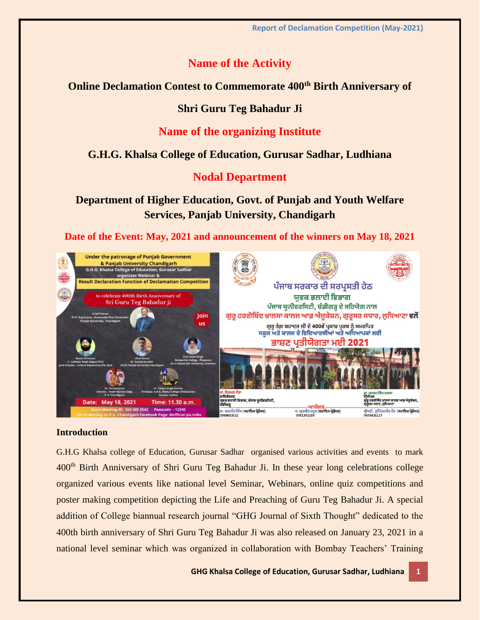## **Name of the Activity**

#### **Online Declamation Contest to Commemorate 400th Birth Anniversary of**

### **Shri Guru Teg Bahadur Ji**

## **Name of the organizing Institute**

## **G.H.G. Khalsa College of Education, Gurusar Sadhar, Ludhiana**

### **Nodal Department**

# **Department of Higher Education, Govt. of Punjab and Youth Welfare Services, Panjab University, Chandigarh**

**Date of the Event: May, 2021 and announcement of the winners on May 18, 2021**



#### **Introduction**

G.H.G Khalsa college of Education, Gurusar Sadhar organised various activities and events to mark 400th Birth Anniversary of Shri Guru Teg Bahadur Ji. In these year long celebrations college organized various events like national level Seminar, Webinars, online quiz competitions and poster making competition depicting the Life and Preaching of Guru Teg Bahadur Ji. A special addition of College biannual research journal "GHG Journal of Sixth Thought" dedicated to the 400th birth anniversary of Shri Guru Teg Bahadur Ji was also released on January 23, 2021 in a national level seminar which was organized in collaboration with Bombay Teachers' Training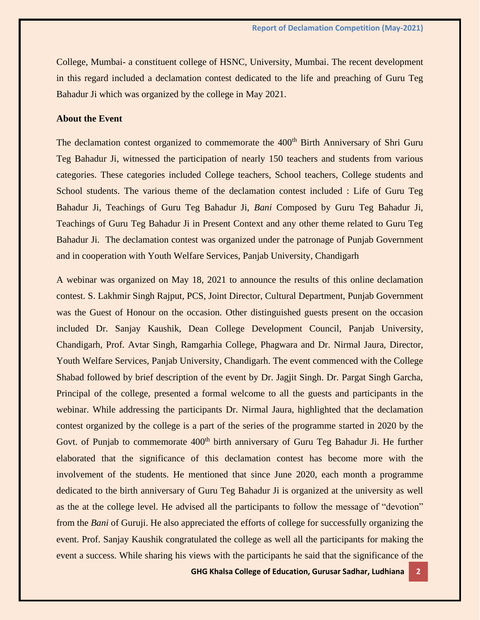College, Mumbai- a constituent college of HSNC, University, Mumbai. The recent development in this regard included a declamation contest dedicated to the life and preaching of Guru Teg Bahadur Ji which was organized by the college in May 2021.

#### **About the Event**

The declamation contest organized to commemorate the 400<sup>th</sup> Birth Anniversary of Shri Guru Teg Bahadur Ji, witnessed the participation of nearly 150 teachers and students from various categories. These categories included College teachers, School teachers, College students and School students. The various theme of the declamation contest included : Life of Guru Teg Bahadur Ji, Teachings of Guru Teg Bahadur Ji, *Bani* Composed by Guru Teg Bahadur Ji, Teachings of Guru Teg Bahadur Ji in Present Context and any other theme related to Guru Teg Bahadur Ji. The declamation contest was organized under the patronage of Punjab Government and in cooperation with Youth Welfare Services, Panjab University, Chandigarh

A webinar was organized on May 18, 2021 to announce the results of this online declamation contest. S. Lakhmir Singh Rajput, PCS, Joint Director, Cultural Department, Punjab Government was the Guest of Honour on the occasion. Other distinguished guests present on the occasion included Dr. Sanjay Kaushik, Dean College Development Council, Panjab University, Chandigarh, Prof. Avtar Singh, Ramgarhia College, Phagwara and Dr. Nirmal Jaura, Director, Youth Welfare Services, Panjab University, Chandigarh. The event commenced with the College Shabad followed by brief description of the event by Dr. Jagjit Singh. Dr. Pargat Singh Garcha, Principal of the college, presented a formal welcome to all the guests and participants in the webinar. While addressing the participants Dr. Nirmal Jaura, highlighted that the declamation contest organized by the college is a part of the series of the programme started in 2020 by the Govt. of Punjab to commemorate 400<sup>th</sup> birth anniversary of Guru Teg Bahadur Ji. He further elaborated that the significance of this declamation contest has become more with the involvement of the students. He mentioned that since June 2020, each month a programme dedicated to the birth anniversary of Guru Teg Bahadur Ji is organized at the university as well as the at the college level. He advised all the participants to follow the message of "devotion" from the *Bani* of Guruji. He also appreciated the efforts of college for successfully organizing the event. Prof. Sanjay Kaushik congratulated the college as well all the participants for making the event a success. While sharing his views with the participants he said that the significance of the

**GHG Khalsa College of Education, Gurusar Sadhar, Ludhiana 2**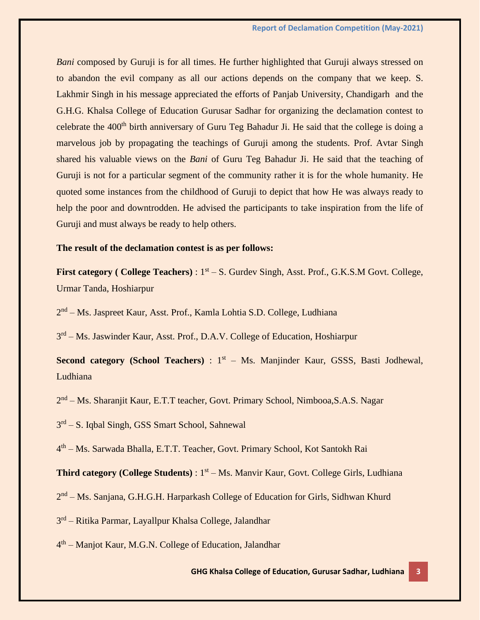*Bani* composed by Guruji is for all times. He further highlighted that Guruji always stressed on to abandon the evil company as all our actions depends on the company that we keep. S. Lakhmir Singh in his message appreciated the efforts of Panjab University, Chandigarh and the G.H.G. Khalsa College of Education Gurusar Sadhar for organizing the declamation contest to celebrate the 400<sup>th</sup> birth anniversary of Guru Teg Bahadur Ji. He said that the college is doing a marvelous job by propagating the teachings of Guruji among the students. Prof. Avtar Singh shared his valuable views on the *Bani* of Guru Teg Bahadur Ji. He said that the teaching of Guruji is not for a particular segment of the community rather it is for the whole humanity. He quoted some instances from the childhood of Guruji to depict that how He was always ready to help the poor and downtrodden. He advised the participants to take inspiration from the life of Guruji and must always be ready to help others.

#### **The result of the declamation contest is as per follows:**

First category (College Teachers):  $1<sup>st</sup> - S$ . Gurdev Singh, Asst. Prof., G.K.S.M Govt. College, Urmar Tanda, Hoshiarpur

2<sup>nd</sup> – Ms. Jaspreet Kaur, Asst. Prof., Kamla Lohtia S.D. College, Ludhiana

3<sup>rd</sup> – Ms. Jaswinder Kaur, Asst. Prof., D.A.V. College of Education, Hoshiarpur

**Second category (School Teachers)** : 1<sup>st</sup> - Ms. Manjinder Kaur, GSSS, Basti Jodhewal, Ludhiana

2<sup>nd</sup> – Ms. Sharanjit Kaur, E.T.T teacher, Govt. Primary School, Nimbooa, S.A.S. Nagar

3<sup>rd</sup> – S. Iqbal Singh, GSS Smart School, Sahnewal

4 th – Ms. Sarwada Bhalla, E.T.T. Teacher, Govt. Primary School, Kot Santokh Rai

Third category (College Students): 1<sup>st</sup> – Ms. Manvir Kaur, Govt. College Girls, Ludhiana

2<sup>nd</sup> – Ms. Sanjana, G.H.G.H. Harparkash College of Education for Girls, Sidhwan Khurd

3<sup>rd</sup> – Ritika Parmar, Layallpur Khalsa College, Jalandhar

4<sup>th</sup> – Manjot Kaur, M.G.N. College of Education, Jalandhar

**GHG Khalsa College of Education, Gurusar Sadhar, Ludhiana 3**